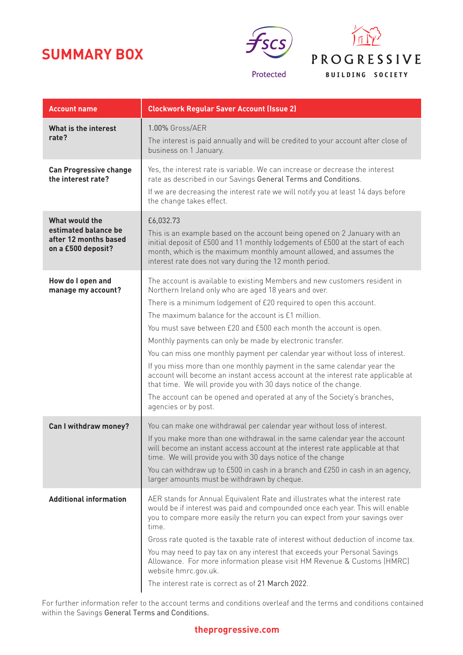# **SUMMARY BOX**





| <b>Account name</b>                                                                   | <b>Clockwork Regular Saver Account (Issue 2)</b>                                                                                                                                                                                                                                                                                                                                                                                                                                                                                                                                                                                                                                                                                                                                                                           |
|---------------------------------------------------------------------------------------|----------------------------------------------------------------------------------------------------------------------------------------------------------------------------------------------------------------------------------------------------------------------------------------------------------------------------------------------------------------------------------------------------------------------------------------------------------------------------------------------------------------------------------------------------------------------------------------------------------------------------------------------------------------------------------------------------------------------------------------------------------------------------------------------------------------------------|
| What is the interest<br>rate?                                                         | 1.00% Gross/AER<br>The interest is paid annually and will be credited to your account after close of<br>business on 1 January.                                                                                                                                                                                                                                                                                                                                                                                                                                                                                                                                                                                                                                                                                             |
| <b>Can Progressive change</b><br>the interest rate?                                   | Yes, the interest rate is variable. We can increase or decrease the interest<br>rate as described in our Savings General Terms and Conditions.<br>If we are decreasing the interest rate we will notify you at least 14 days before<br>the change takes effect.                                                                                                                                                                                                                                                                                                                                                                                                                                                                                                                                                            |
| What would the<br>estimated balance be<br>after 12 months based<br>on a £500 deposit? | £6,032.73<br>This is an example based on the account being opened on 2 January with an<br>initial deposit of £500 and 11 monthly lodgements of £500 at the start of each<br>month, which is the maximum monthly amount allowed, and assumes the<br>interest rate does not vary during the 12 month period.                                                                                                                                                                                                                                                                                                                                                                                                                                                                                                                 |
| How do I open and<br>manage my account?                                               | The account is available to existing Members and new customers resident in<br>Northern Ireland only who are aged 18 years and over.<br>There is a minimum lodgement of £20 required to open this account.<br>The maximum balance for the account is £1 million.<br>You must save between £20 and £500 each month the account is open.<br>Monthly payments can only be made by electronic transfer.<br>You can miss one monthly payment per calendar year without loss of interest.<br>If you miss more than one monthly payment in the same calendar year the<br>account will become an instant access account at the interest rate applicable at<br>that time. We will provide you with 30 days notice of the change.<br>The account can be opened and operated at any of the Society's branches,<br>agencies or by post. |
| Can I withdraw money?                                                                 | You can make one withdrawal per calendar year without loss of interest.<br>If you make more than one withdrawal in the same calendar year the account<br>will become an instant access account at the interest rate applicable at that<br>time. We will provide you with 30 days notice of the change<br>You can withdraw up to £500 in cash in a branch and £250 in cash in an agency,<br>larger amounts must be withdrawn by cheque.                                                                                                                                                                                                                                                                                                                                                                                     |
| <b>Additional information</b>                                                         | AER stands for Annual Equivalent Rate and illustrates what the interest rate<br>would be if interest was paid and compounded once each year. This will enable<br>you to compare more easily the return you can expect from your savings over<br>time.<br>Gross rate quoted is the taxable rate of interest without deduction of income tax.<br>You may need to pay tax on any interest that exceeds your Personal Savings<br>Allowance. For more information please visit HM Revenue & Customs (HMRC)<br>website hmrc.gov.uk.<br>The interest rate is correct as of 21 March 2022.                                                                                                                                                                                                                                         |

For further information refer to the account terms and conditions overleaf and the terms and conditions contained within the Savings General Terms and Conditions.

## **theprogressive.com**